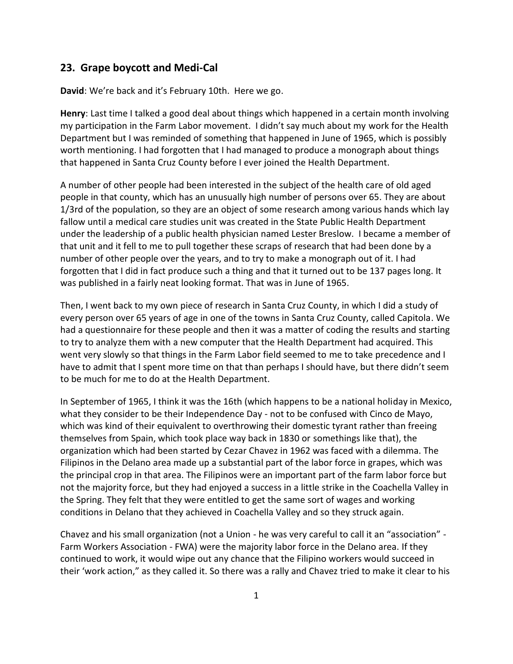## **23. Grape boycott and Medi-Cal**

**David**: We're back and it's February 10th. Here we go.

**Henry**: Last time I talked a good deal about things which happened in a certain month involving my participation in the Farm Labor movement. I didn't say much about my work for the Health Department but I was reminded of something that happened in June of 1965, which is possibly worth mentioning. I had forgotten that I had managed to produce a monograph about things that happened in Santa Cruz County before I ever joined the Health Department.

A number of other people had been interested in the subject of the health care of old aged people in that county, which has an unusually high number of persons over 65. They are about 1/3rd of the population, so they are an object of some research among various hands which lay fallow until a medical care studies unit was created in the State Public Health Department under the leadership of a public health physician named Lester Breslow. I became a member of that unit and it fell to me to pull together these scraps of research that had been done by a number of other people over the years, and to try to make a monograph out of it. I had forgotten that I did in fact produce such a thing and that it turned out to be 137 pages long. It was published in a fairly neat looking format. That was in June of 1965.

Then, I went back to my own piece of research in Santa Cruz County, in which I did a study of every person over 65 years of age in one of the towns in Santa Cruz County, called Capitola. We had a questionnaire for these people and then it was a matter of coding the results and starting to try to analyze them with a new computer that the Health Department had acquired. This went very slowly so that things in the Farm Labor field seemed to me to take precedence and I have to admit that I spent more time on that than perhaps I should have, but there didn't seem to be much for me to do at the Health Department.

In September of 1965, I think it was the 16th (which happens to be a national holiday in Mexico, what they consider to be their Independence Day - not to be confused with Cinco de Mayo, which was kind of their equivalent to overthrowing their domestic tyrant rather than freeing themselves from Spain, which took place way back in 1830 or somethings like that), the organization which had been started by Cezar Chavez in 1962 was faced with a dilemma. The Filipinos in the Delano area made up a substantial part of the labor force in grapes, which was the principal crop in that area. The Filipinos were an important part of the farm labor force but not the majority force, but they had enjoyed a success in a little strike in the Coachella Valley in the Spring. They felt that they were entitled to get the same sort of wages and working conditions in Delano that they achieved in Coachella Valley and so they struck again.

Chavez and his small organization (not a Union - he was very careful to call it an "association" - Farm Workers Association - FWA) were the majority labor force in the Delano area. If they continued to work, it would wipe out any chance that the Filipino workers would succeed in their 'work action," as they called it. So there was a rally and Chavez tried to make it clear to his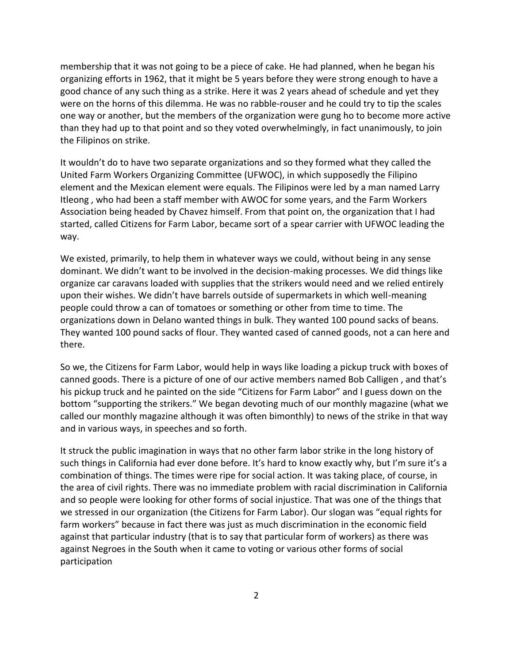membership that it was not going to be a piece of cake. He had planned, when he began his organizing efforts in 1962, that it might be 5 years before they were strong enough to have a good chance of any such thing as a strike. Here it was 2 years ahead of schedule and yet they were on the horns of this dilemma. He was no rabble-rouser and he could try to tip the scales one way or another, but the members of the organization were gung ho to become more active than they had up to that point and so they voted overwhelmingly, in fact unanimously, to join the Filipinos on strike.

It wouldn't do to have two separate organizations and so they formed what they called the United Farm Workers Organizing Committee (UFWOC), in which supposedly the Filipino element and the Mexican element were equals. The Filipinos were led by a man named Larry Itleong , who had been a staff member with AWOC for some years, and the Farm Workers Association being headed by Chavez himself. From that point on, the organization that I had started, called Citizens for Farm Labor, became sort of a spear carrier with UFWOC leading the way.

We existed, primarily, to help them in whatever ways we could, without being in any sense dominant. We didn't want to be involved in the decision-making processes. We did things like organize car caravans loaded with supplies that the strikers would need and we relied entirely upon their wishes. We didn't have barrels outside of supermarkets in which well-meaning people could throw a can of tomatoes or something or other from time to time. The organizations down in Delano wanted things in bulk. They wanted 100 pound sacks of beans. They wanted 100 pound sacks of flour. They wanted cased of canned goods, not a can here and there.

So we, the Citizens for Farm Labor, would help in ways like loading a pickup truck with boxes of canned goods. There is a picture of one of our active members named Bob Calligen , and that's his pickup truck and he painted on the side "Citizens for Farm Labor" and I guess down on the bottom "supporting the strikers." We began devoting much of our monthly magazine (what we called our monthly magazine although it was often bimonthly) to news of the strike in that way and in various ways, in speeches and so forth.

It struck the public imagination in ways that no other farm labor strike in the long history of such things in California had ever done before. It's hard to know exactly why, but I'm sure it's a combination of things. The times were ripe for social action. It was taking place, of course, in the area of civil rights. There was no immediate problem with racial discrimination in California and so people were looking for other forms of social injustice. That was one of the things that we stressed in our organization (the Citizens for Farm Labor). Our slogan was "equal rights for farm workers" because in fact there was just as much discrimination in the economic field against that particular industry (that is to say that particular form of workers) as there was against Negroes in the South when it came to voting or various other forms of social participation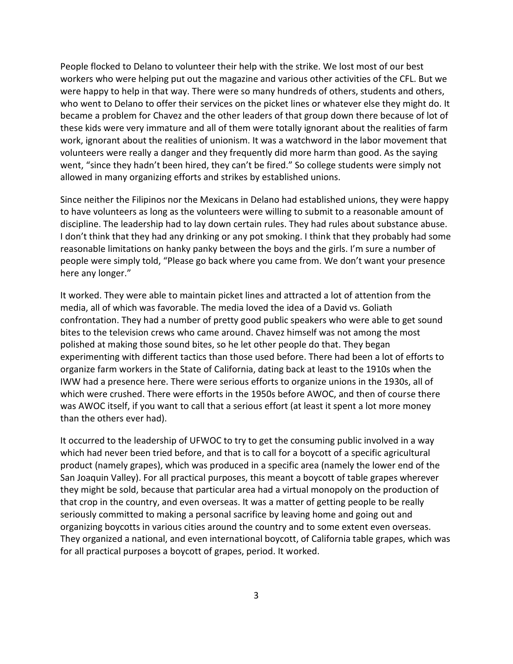People flocked to Delano to volunteer their help with the strike. We lost most of our best workers who were helping put out the magazine and various other activities of the CFL. But we were happy to help in that way. There were so many hundreds of others, students and others, who went to Delano to offer their services on the picket lines or whatever else they might do. It became a problem for Chavez and the other leaders of that group down there because of lot of these kids were very immature and all of them were totally ignorant about the realities of farm work, ignorant about the realities of unionism. It was a watchword in the labor movement that volunteers were really a danger and they frequently did more harm than good. As the saying went, "since they hadn't been hired, they can't be fired." So college students were simply not allowed in many organizing efforts and strikes by established unions.

Since neither the Filipinos nor the Mexicans in Delano had established unions, they were happy to have volunteers as long as the volunteers were willing to submit to a reasonable amount of discipline. The leadership had to lay down certain rules. They had rules about substance abuse. I don't think that they had any drinking or any pot smoking. I think that they probably had some reasonable limitations on hanky panky between the boys and the girls. I'm sure a number of people were simply told, "Please go back where you came from. We don't want your presence here any longer."

It worked. They were able to maintain picket lines and attracted a lot of attention from the media, all of which was favorable. The media loved the idea of a David vs. Goliath confrontation. They had a number of pretty good public speakers who were able to get sound bites to the television crews who came around. Chavez himself was not among the most polished at making those sound bites, so he let other people do that. They began experimenting with different tactics than those used before. There had been a lot of efforts to organize farm workers in the State of California, dating back at least to the 1910s when the IWW had a presence here. There were serious efforts to organize unions in the 1930s, all of which were crushed. There were efforts in the 1950s before AWOC, and then of course there was AWOC itself, if you want to call that a serious effort (at least it spent a lot more money than the others ever had).

It occurred to the leadership of UFWOC to try to get the consuming public involved in a way which had never been tried before, and that is to call for a boycott of a specific agricultural product (namely grapes), which was produced in a specific area (namely the lower end of the San Joaquin Valley). For all practical purposes, this meant a boycott of table grapes wherever they might be sold, because that particular area had a virtual monopoly on the production of that crop in the country, and even overseas. It was a matter of getting people to be really seriously committed to making a personal sacrifice by leaving home and going out and organizing boycotts in various cities around the country and to some extent even overseas. They organized a national, and even international boycott, of California table grapes, which was for all practical purposes a boycott of grapes, period. It worked.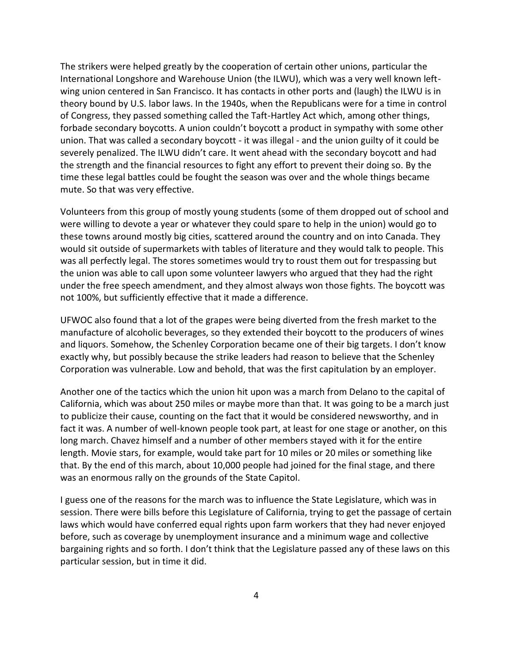The strikers were helped greatly by the cooperation of certain other unions, particular the International Longshore and Warehouse Union (the ILWU), which was a very well known left wing union centered in San Francisco. It has contacts in other ports and (laugh) the ILWU is in theory bound by U.S. labor laws. In the 1940s, when the Republicans were for a time in control of Congress, they passed something called the Taft-Hartley Act which, among other things, forbade secondary boycotts. A union couldn't boycott a product in sympathy with some other union. That was called a secondary boycott - it was illegal - and the union guilty of it could be severely penalized. The ILWU didn't care. It went ahead with the secondary boycott and had the strength and the financial resources to fight any effort to prevent their doing so. By the time these legal battles could be fought the season was over and the whole things became mute. So that was very effective.

Volunteers from this group of mostly young students (some of them dropped out of school and were willing to devote a year or whatever they could spare to help in the union) would go to these towns around mostly big cities, scattered around the country and on into Canada. They would sit outside of supermarkets with tables of literature and they would talk to people. This was all perfectly legal. The stores sometimes would try to roust them out for trespassing but the union was able to call upon some volunteer lawyers who argued that they had the right under the free speech amendment, and they almost always won those fights. The boycott was not 100%, but sufficiently effective that it made a difference.

UFWOC also found that a lot of the grapes were being diverted from the fresh market to the manufacture of alcoholic beverages, so they extended their boycott to the producers of wines and liquors. Somehow, the Schenley Corporation became one of their big targets. I don't know exactly why, but possibly because the strike leaders had reason to believe that the Schenley Corporation was vulnerable. Low and behold, that was the first capitulation by an employer.

Another one of the tactics which the union hit upon was a march from Delano to the capital of California, which was about 250 miles or maybe more than that. It was going to be a march just to publicize their cause, counting on the fact that it would be considered newsworthy, and in fact it was. A number of well-known people took part, at least for one stage or another, on this long march. Chavez himself and a number of other members stayed with it for the entire length. Movie stars, for example, would take part for 10 miles or 20 miles or something like that. By the end of this march, about 10,000 people had joined for the final stage, and there was an enormous rally on the grounds of the State Capitol.

I guess one of the reasons for the march was to influence the State Legislature, which was in session. There were bills before this Legislature of California, trying to get the passage of certain laws which would have conferred equal rights upon farm workers that they had never enjoyed before, such as coverage by unemployment insurance and a minimum wage and collective bargaining rights and so forth. I don't think that the Legislature passed any of these laws on this particular session, but in time it did.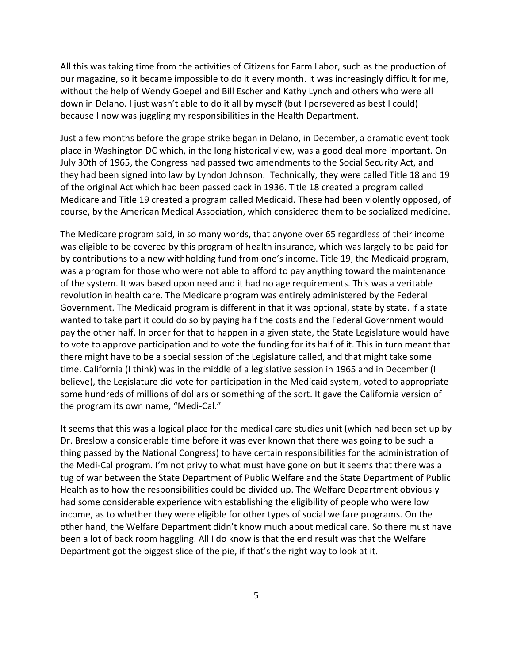All this was taking time from the activities of Citizens for Farm Labor, such as the production of our magazine, so it became impossible to do it every month. It was increasingly difficult for me, without the help of Wendy Goepel and Bill Escher and Kathy Lynch and others who were all down in Delano. I just wasn't able to do it all by myself (but I persevered as best I could) because I now was juggling my responsibilities in the Health Department.

Just a few months before the grape strike began in Delano, in December, a dramatic event took place in Washington DC which, in the long historical view, was a good deal more important. On July 30th of 1965, the Congress had passed two amendments to the Social Security Act, and they had been signed into law by Lyndon Johnson. Technically, they were called Title 18 and 19 of the original Act which had been passed back in 1936. Title 18 created a program called Medicare and Title 19 created a program called Medicaid. These had been violently opposed, of course, by the American Medical Association, which considered them to be socialized medicine.

The Medicare program said, in so many words, that anyone over 65 regardless of their income was eligible to be covered by this program of health insurance, which was largely to be paid for by contributions to a new withholding fund from one's income. Title 19, the Medicaid program, was a program for those who were not able to afford to pay anything toward the maintenance of the system. It was based upon need and it had no age requirements. This was a veritable revolution in health care. The Medicare program was entirely administered by the Federal Government. The Medicaid program is different in that it was optional, state by state. If a state wanted to take part it could do so by paying half the costs and the Federal Government would pay the other half. In order for that to happen in a given state, the State Legislature would have to vote to approve participation and to vote the funding for its half of it. This in turn meant that there might have to be a special session of the Legislature called, and that might take some time. California (I think) was in the middle of a legislative session in 1965 and in December (I believe), the Legislature did vote for participation in the Medicaid system, voted to appropriate some hundreds of millions of dollars or something of the sort. It gave the California version of the program its own name, "Medi-Cal."

It seems that this was a logical place for the medical care studies unit (which had been set up by Dr. Breslow a considerable time before it was ever known that there was going to be such a thing passed by the National Congress) to have certain responsibilities for the administration of the Medi-Cal program. I'm not privy to what must have gone on but it seems that there was a tug of war between the State Department of Public Welfare and the State Department of Public Health as to how the responsibilities could be divided up. The Welfare Department obviously had some considerable experience with establishing the eligibility of people who were low income, as to whether they were eligible for other types of social welfare programs. On the other hand, the Welfare Department didn't know much about medical care. So there must have been a lot of back room haggling. All I do know is that the end result was that the Welfare Department got the biggest slice of the pie, if that's the right way to look at it.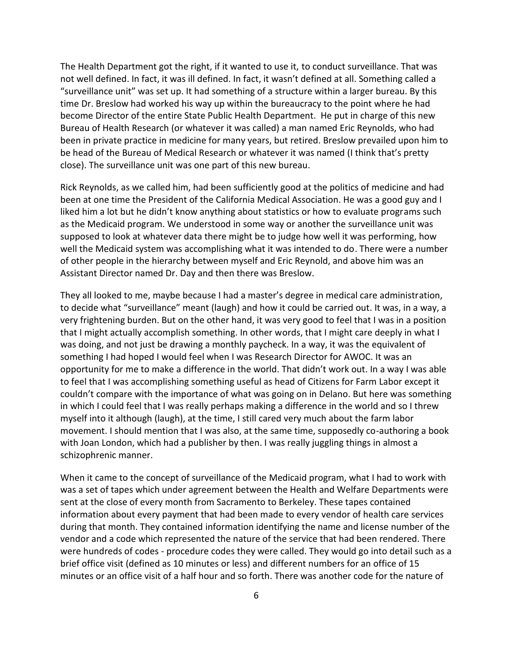The Health Department got the right, if it wanted to use it, to conduct surveillance. That was not well defined. In fact, it was ill defined. In fact, it wasn't defined at all. Something called a "surveillance unit" was set up. It had something of a structure within a larger bureau. By this time Dr. Breslow had worked his way up within the bureaucracy to the point where he had become Director of the entire State Public Health Department. He put in charge of this new Bureau of Health Research (or whatever it was called) a man named Eric Reynolds, who had been in private practice in medicine for many years, but retired. Breslow prevailed upon him to be head of the Bureau of Medical Research or whatever it was named (I think that's pretty close). The surveillance unit was one part of this new bureau.

Rick Reynolds, as we called him, had been sufficiently good at the politics of medicine and had been at one time the President of the California Medical Association. He was a good guy and I liked him a lot but he didn't know anything about statistics or how to evaluate programs such as the Medicaid program. We understood in some way or another the surveillance unit was supposed to look at whatever data there might be to judge how well it was performing, how well the Medicaid system was accomplishing what it was intended to do. There were a number of other people in the hierarchy between myself and Eric Reynold, and above him was an Assistant Director named Dr. Day and then there was Breslow.

They all looked to me, maybe because I had a master's degree in medical care administration, to decide what "surveillance" meant (laugh) and how it could be carried out. It was, in a way, a very frightening burden. But on the other hand, it was very good to feel that I was in a position that I might actually accomplish something. In other words, that I might care deeply in what I was doing, and not just be drawing a monthly paycheck. In a way, it was the equivalent of something I had hoped I would feel when I was Research Director for AWOC. It was an opportunity for me to make a difference in the world. That didn't work out. In a way I was able to feel that I was accomplishing something useful as head of Citizens for Farm Labor except it couldn't compare with the importance of what was going on in Delano. But here was something in which I could feel that I was really perhaps making a difference in the world and so I threw myself into it although (laugh), at the time, I still cared very much about the farm labor movement. I should mention that I was also, at the same time, supposedly co-authoring a book with Joan London, which had a publisher by then. I was really juggling things in almost a schizophrenic manner.

When it came to the concept of surveillance of the Medicaid program, what I had to work with was a set of tapes which under agreement between the Health and Welfare Departments were sent at the close of every month from Sacramento to Berkeley. These tapes contained information about every payment that had been made to every vendor of health care services during that month. They contained information identifying the name and license number of the vendor and a code which represented the nature of the service that had been rendered. There were hundreds of codes - procedure codes they were called. They would go into detail such as a brief office visit (defined as 10 minutes or less) and different numbers for an office of 15 minutes or an office visit of a half hour and so forth. There was another code for the nature of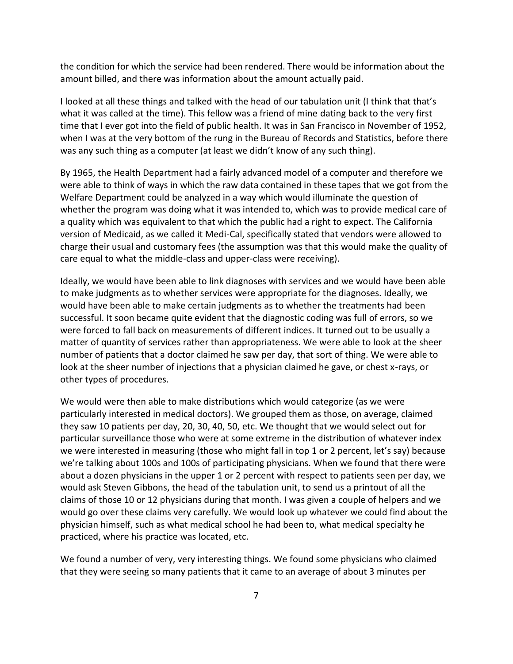the condition for which the service had been rendered. There would be information about the amount billed, and there was information about the amount actually paid.

I looked at all these things and talked with the head of our tabulation unit (I think that that's what it was called at the time). This fellow was a friend of mine dating back to the very first time that I ever got into the field of public health. It was in San Francisco in November of 1952, when I was at the very bottom of the rung in the Bureau of Records and Statistics, before there was any such thing as a computer (at least we didn't know of any such thing).

By 1965, the Health Department had a fairly advanced model of a computer and therefore we were able to think of ways in which the raw data contained in these tapes that we got from the Welfare Department could be analyzed in a way which would illuminate the question of whether the program was doing what it was intended to, which was to provide medical care of a quality which was equivalent to that which the public had a right to expect. The California version of Medicaid, as we called it Medi-Cal, specifically stated that vendors were allowed to charge their usual and customary fees (the assumption was that this would make the quality of care equal to what the middle-class and upper-class were receiving).

Ideally, we would have been able to link diagnoses with services and we would have been able to make judgments as to whether services were appropriate for the diagnoses. Ideally, we would have been able to make certain judgments as to whether the treatments had been successful. It soon became quite evident that the diagnostic coding was full of errors, so we were forced to fall back on measurements of different indices. It turned out to be usually a matter of quantity of services rather than appropriateness. We were able to look at the sheer number of patients that a doctor claimed he saw per day, that sort of thing. We were able to look at the sheer number of injections that a physician claimed he gave, or chest x-rays, or other types of procedures.

We would were then able to make distributions which would categorize (as we were particularly interested in medical doctors). We grouped them as those, on average, claimed they saw 10 patients per day, 20, 30, 40, 50, etc. We thought that we would select out for particular surveillance those who were at some extreme in the distribution of whatever index we were interested in measuring (those who might fall in top 1 or 2 percent, let's say) because we're talking about 100s and 100s of participating physicians. When we found that there were about a dozen physicians in the upper 1 or 2 percent with respect to patients seen per day, we would ask Steven Gibbons, the head of the tabulation unit, to send us a printout of all the claims of those 10 or 12 physicians during that month. I was given a couple of helpers and we would go over these claims very carefully. We would look up whatever we could find about the physician himself, such as what medical school he had been to, what medical specialty he practiced, where his practice was located, etc.

We found a number of very, very interesting things. We found some physicians who claimed that they were seeing so many patients that it came to an average of about 3 minutes per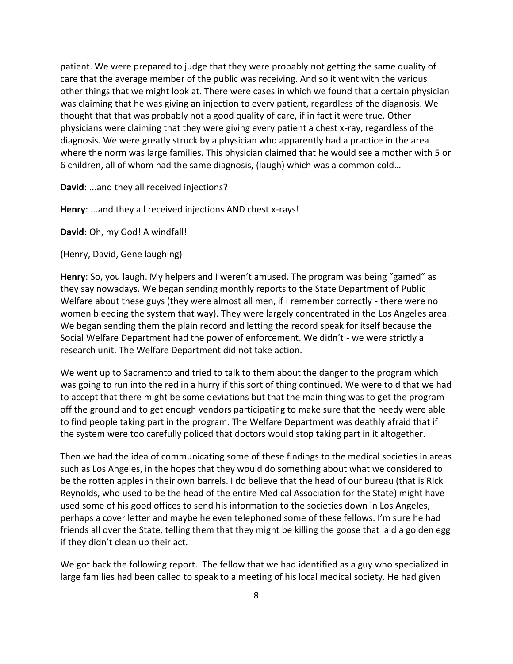patient. We were prepared to judge that they were probably not getting the same quality of care that the average member of the public was receiving. And so it went with the various other things that we might look at. There were cases in which we found that a certain physician was claiming that he was giving an injection to every patient, regardless of the diagnosis. We thought that that was probably not a good quality of care, if in fact it were true. Other physicians were claiming that they were giving every patient a chest x-ray, regardless of the diagnosis. We were greatly struck by a physician who apparently had a practice in the area where the norm was large families. This physician claimed that he would see a mother with 5 or 6 children, all of whom had the same diagnosis, (laugh) which was a common cold…

**David**: ...and they all received injections?

**Henry**: ...and they all received injections AND chest x-rays!

**David**: Oh, my God! A windfall!

(Henry, David, Gene laughing)

**Henry**: So, you laugh. My helpers and I weren't amused. The program was being "gamed" as they say nowadays. We began sending monthly reports to the State Department of Public Welfare about these guys (they were almost all men, if I remember correctly - there were no women bleeding the system that way). They were largely concentrated in the Los Angeles area. We began sending them the plain record and letting the record speak for itself because the Social Welfare Department had the power of enforcement. We didn't - we were strictly a research unit. The Welfare Department did not take action.

We went up to Sacramento and tried to talk to them about the danger to the program which was going to run into the red in a hurry if this sort of thing continued. We were told that we had to accept that there might be some deviations but that the main thing was to get the program off the ground and to get enough vendors participating to make sure that the needy were able to find people taking part in the program. The Welfare Department was deathly afraid that if the system were too carefully policed that doctors would stop taking part in it altogether.

Then we had the idea of communicating some of these findings to the medical societies in areas such as Los Angeles, in the hopes that they would do something about what we considered to be the rotten apples in their own barrels. I do believe that the head of our bureau (that is RIck Reynolds, who used to be the head of the entire Medical Association for the State) might have used some of his good offices to send his information to the societies down in Los Angeles, perhaps a cover letter and maybe he even telephoned some of these fellows. I'm sure he had friends all over the State, telling them that they might be killing the goose that laid a golden egg if they didn't clean up their act.

We got back the following report. The fellow that we had identified as a guy who specialized in large families had been called to speak to a meeting of his local medical society. He had given